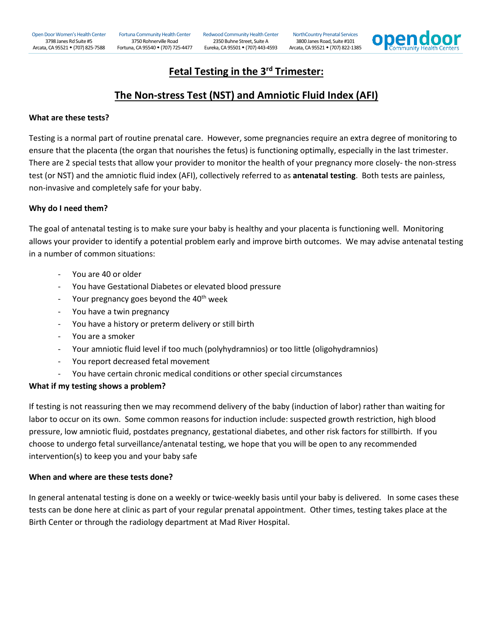Open Door Women's Health Center 3798 Janes Rd Suite #5 Arcata, CA 95521 • (707) 825-7588

[Fortuna Community Health Center](http://opendoorhealth.com/opendoor/fortuna-chc-prenatal-services/)  3750 Rohnerville Road

Fortuna, CA 95540 (707) 725-4477 Eureka, CA 95501 (707) 443-4593 Arcata, CA 95521 (707) 822-1385 [Redwood Community Health Center](http://opendoorhealth.com/opendoor/redwood-chc-prenatal-services/) 2350 Buhne Street, Suite A

[NorthCountry Prenatal Services](http://opendoorhealth.com/opendoor/locations/northcountry-prenatal-services/) 3800 Janes Road, Suite #101



### **Fetal Testing in the 3rd Trimester:**

## **The Non-stress Test (NST) and Amniotic Fluid Index (AFI)**

#### **What are these tests?**

Testing is a normal part of routine prenatal care. However, some pregnancies require an extra degree of monitoring to ensure that the placenta (the organ that nourishes the fetus) is functioning optimally, especially in the last trimester. There are 2 special tests that allow your provider to monitor the health of your pregnancy more closely- the non-stress test (or NST) and the amniotic fluid index (AFI), collectively referred to as **antenatal testing**. Both tests are painless, non-invasive and completely safe for your baby.

#### **Why do I need them?**

The goal of antenatal testing is to make sure your baby is healthy and your placenta is functioning well. Monitoring allows your provider to identify a potential problem early and improve birth outcomes. We may advise antenatal testing in a number of common situations:

- You are 40 or older
- You have Gestational Diabetes or elevated blood pressure
- Your pregnancy goes beyond the  $40<sup>th</sup>$  week
- You have a twin pregnancy
- You have a history or preterm delivery or still birth
- You are a smoker
- Your amniotic fluid level if too much (polyhydramnios) or too little (oligohydramnios)
- You report decreased fetal movement
- You have certain chronic medical conditions or other special circumstances

#### **What if my testing shows a problem?**

If testing is not reassuring then we may recommend delivery of the baby (induction of labor) rather than waiting for labor to occur on its own. Some common reasons for induction include: suspected growth restriction, high blood pressure, low amniotic fluid, postdates pregnancy, gestational diabetes, and other risk factors for stillbirth. If you choose to undergo fetal surveillance/antenatal testing, we hope that you will be open to any recommended intervention(s) to keep you and your baby safe

#### **When and where are these tests done?**

In general antenatal testing is done on a weekly or twice-weekly basis until your baby is delivered. In some cases these tests can be done here at clinic as part of your regular prenatal appointment. Other times, testing takes place at the Birth Center or through the radiology department at Mad River Hospital.